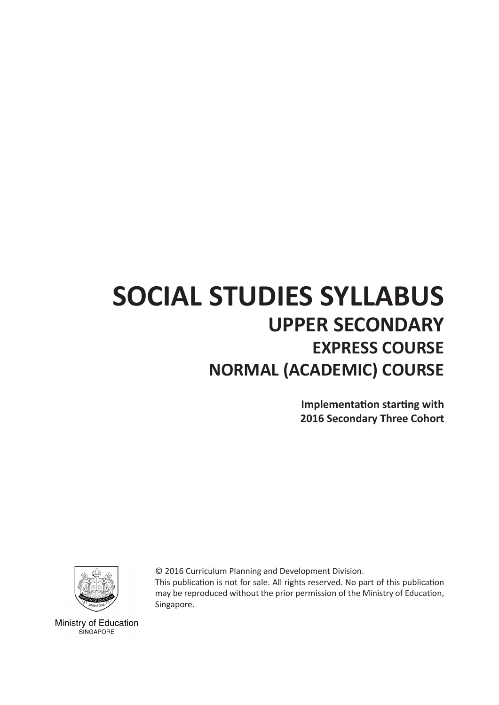# **SOCIAL STUDIES SYLLABUS UPPER SECONDARY EXPRESS COURSE NORMAL (ACADEMIC) COURSE**

**Implementation starting with 2016 Secondary Three Cohort**



© 2016 Curriculum Planning and Development Division. This publication is not for sale. All rights reserved. No part of this publication may be reproduced without the prior permission of the Ministry of Education, Singapore.

Ministry of Education SINGAPORE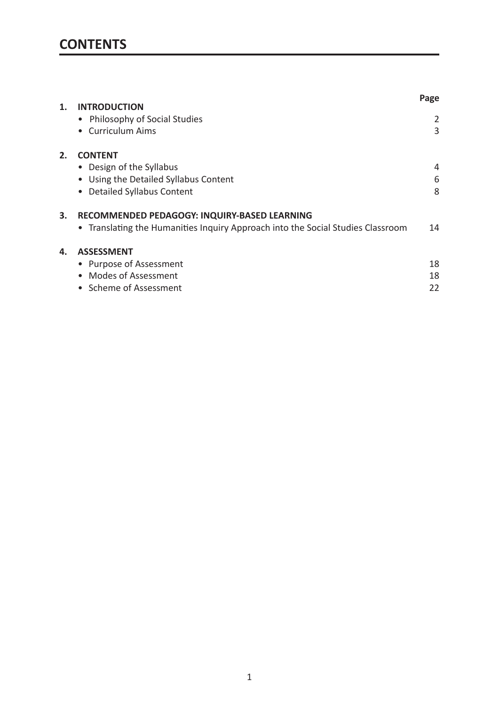| 1. | <b>INTRODUCTION</b>                                                             | Page |
|----|---------------------------------------------------------------------------------|------|
|    | • Philosophy of Social Studies                                                  | 2    |
|    | <b>Curriculum Aims</b>                                                          | 3    |
| 2. | <b>CONTENT</b>                                                                  |      |
|    | • Design of the Syllabus                                                        | 4    |
|    | Using the Detailed Syllabus Content                                             | 6    |
|    | <b>Detailed Syllabus Content</b>                                                | 8    |
| 3. | RECOMMENDED PEDAGOGY: INQUIRY-BASED LEARNING                                    |      |
|    | • Translating the Humanities Inquiry Approach into the Social Studies Classroom | 14   |
| 4. | <b>ASSESSMENT</b>                                                               |      |
|    | Purpose of Assessment                                                           | 18   |
|    | Modes of Assessment                                                             | 18   |
|    | Scheme of Assessment                                                            | 22   |
|    |                                                                                 |      |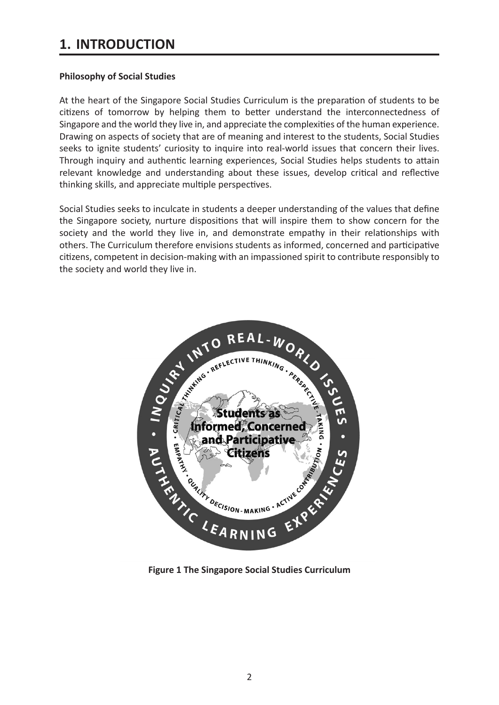# **1. INTRODUCTION**

#### **Philosophy of Social Studies**

At the heart of the Singapore Social Studies Curriculum is the preparation of students to be citizens of tomorrow by helping them to better understand the interconnectedness of Singapore and the world they live in, and appreciate the complexities of the human experience. Drawing on aspects of society that are of meaning and interest to the students, Social Studies seeks to ignite students' curiosity to inquire into real-world issues that concern their lives. Through inquiry and authentic learning experiences, Social Studies helps students to attain relevant knowledge and understanding about these issues, develop critical and reflective thinking skills, and appreciate multiple perspectives.

Social Studies seeks to inculcate in students a deeper understanding of the values that define the Singapore society, nurture dispositions that will inspire them to show concern for the society and the world they live in, and demonstrate empathy in their relationships with others. The Curriculum therefore envisions students as informed, concerned and participative citizens, competent in decision-making with an impassioned spirit to contribute responsibly to the society and world they live in.

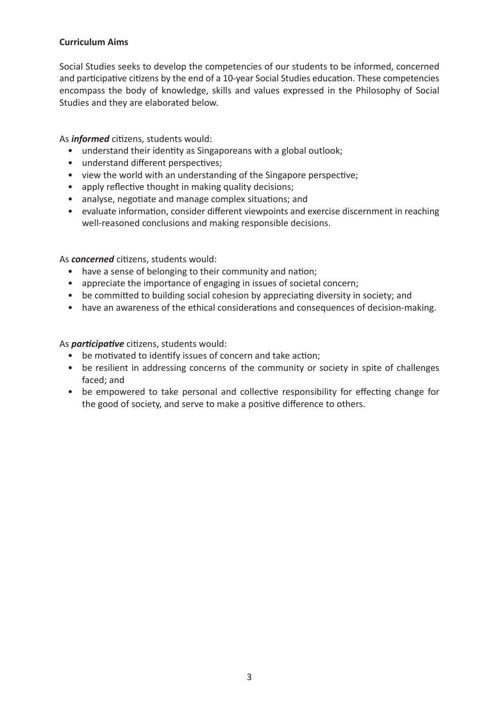## **Curriculum Aims**

Social Studies seeks to develop the competencies of our students to be informed, concerned and participative citizens by the end of a 10-year Social Studies education. These competencies encompass the body of knowledge, skills and values expressed in the Philosophy of Social Studies and they are elaborated below.

As *informed* citizens, students would:

- understand their identity as Singaporeans with a global outlook;
- understand different perspectives;
- view the world with an understanding of the Singapore perspective;
- apply reflective thought in making quality decisions;
- analyse, negotiate and manage complex situations; and
- evaluate information, consider different viewpoints and exercise discernment in reaching well-reasoned conclusions and making responsible decisions.

As *concerned* citizens, students would:

- have a sense of belonging to their community and nation;
- appreciate the importance of engaging in issues of societal concern;
- be committed to building social cohesion by appreciating diversity in society; and
- have an awareness of the ethical considerations and consequences of decision-making.

As *participative* citizens, students would:

- be motivated to identify issues of concern and take action;
- be resilient in addressing concerns of the community or society in spite of challenges faced; and
- be empowered to take personal and collective responsibility for effecting change for the good of society, and serve to make a positive difference to others.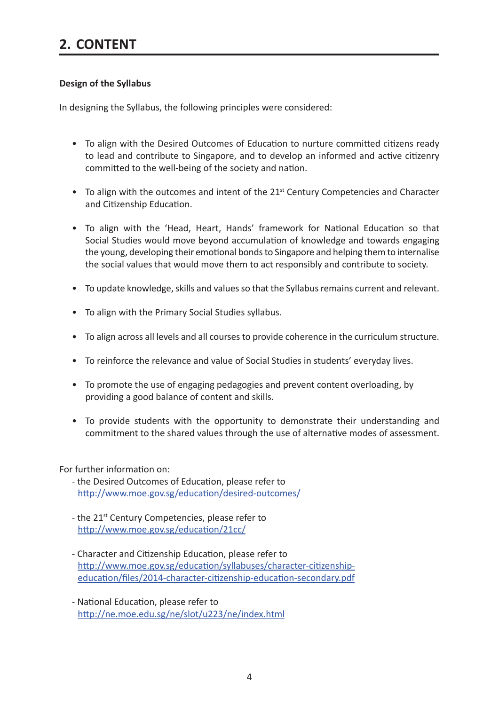# **Design of the Syllabus**

In designing the Syllabus, the following principles were considered:

- To align with the Desired Outcomes of Education to nurture committed citizens ready to lead and contribute to Singapore, and to develop an informed and active citizenry committed to the well-being of the society and nation.
- To align with the outcomes and intent of the 21<sup>st</sup> Century Competencies and Character and Citizenship Education.
- To align with the 'Head, Heart, Hands' framework for National Education so that Social Studies would move beyond accumulation of knowledge and towards engaging the young, developing their emotional bonds to Singapore and helping them to internalise the social values that would move them to act responsibly and contribute to society.
- To update knowledge, skills and values so that the Syllabus remains current and relevant.
- To align with the Primary Social Studies syllabus.
- To align across all levels and all courses to provide coherence in the curriculum structure.
- To reinforce the relevance and value of Social Studies in students' everyday lives.
- To promote the use of engaging pedagogies and prevent content overloading, by providing a good balance of content and skills.
- To provide students with the opportunity to demonstrate their understanding and commitment to the shared values through the use of alternative modes of assessment.

For further information on:

- the Desired Outcomes of Education, please refer to http://www.moe.gov.sg/education/desired-outcomes/
- the 21<sup>st</sup> Century Competencies, please refer to http://www.moe.gov.sg/education/21cc/
- Character and Citizenship Education, please refer to http://www.moe.gov.sg/education/syllabuses/character-citizenshipeducation/files/2014-character-citizenship-education-secondary.pdf
- National Education, please refer to http://ne.moe.edu.sg/ne/slot/u223/ne/index.html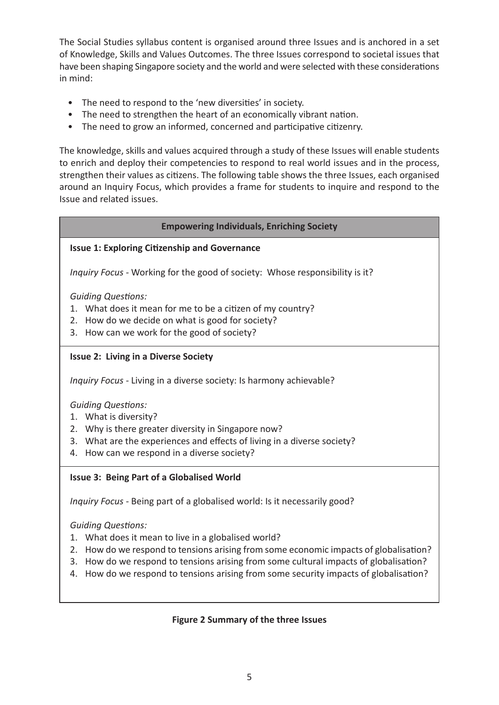The Social Studies syllabus content is organised around three Issues and is anchored in a set of Knowledge, Skills and Values Outcomes. The three Issues correspond to societal issues that have been shaping Singapore society and the world and were selected with these considerations in mind:

- The need to respond to the 'new diversities' in society.
- The need to strengthen the heart of an economically vibrant nation.
- The need to grow an informed, concerned and participative citizenry.

The knowledge, skills and values acquired through a study of these Issues will enable students to enrich and deploy their competencies to respond to real world issues and in the process, strengthen their values as citizens. The following table shows the three Issues, each organised around an Inquiry Focus, which provides a frame for students to inquire and respond to the Issue and related issues.

# **Empowering Individuals, Enriching Society**

# **Issue 1: Exploring Citizenship and Governance**

*Inquiry Focus -* Working for the good of society: Whose responsibility is it?

*Guiding Questions:*

- 1. What does it mean for me to be a citizen of my country?
- 2. How do we decide on what is good for society?
- 3. How can we work for the good of society?

# **Issue 2: Living in a Diverse Society**

*Inquiry Focus -* Living in a diverse society: Is harmony achievable?

*Guiding Questions:*

- 1. What is diversity?
- 2. Why is there greater diversity in Singapore now?
- 3. What are the experiences and effects of living in a diverse society?
- 4. How can we respond in a diverse society?

# **Issue 3: Being Part of a Globalised World**

*Inquiry Focus -* Being part of a globalised world: Is it necessarily good?

*Guiding Questions:*

- 1. What does it mean to live in a globalised world?
- 2. How do we respond to tensions arising from some economic impacts of globalisation?
- 3. How do we respond to tensions arising from some cultural impacts of globalisation?
- 4. How do we respond to tensions arising from some security impacts of globalisation?

# **Figure 2 Summary of the three Issues**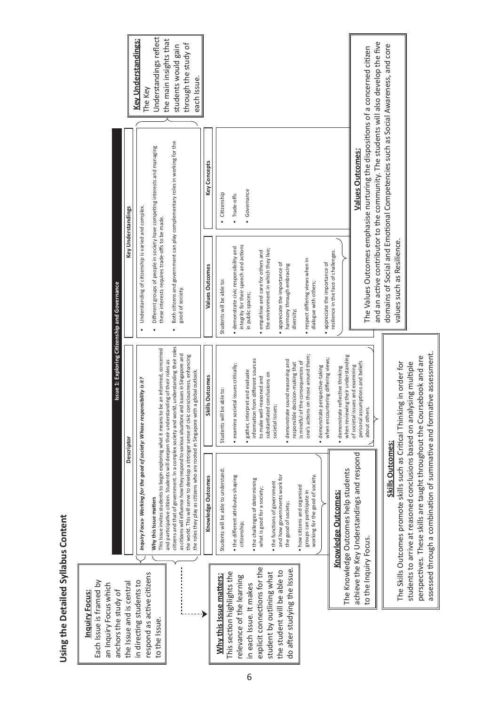|                                                                                                    |                          | <b>Key Understandings:</b><br>The Key                                       | Understandings reflect<br>the main insights that                                                                                                                                   | through the study of<br>students would gain<br>each Issue.                                                                                                                                                                                                                                                                                                                    |                     |                                      |                                                          |                                                             |                                                                 |                                                  |                              |                                                                          |                                   |                                                               |                                                                           |                                       |                                      |                                                                      |                                                                                 |                                                                                     |                                                                                 |                                                                           |                                                                        |                                                                         |                                                                       |
|----------------------------------------------------------------------------------------------------|--------------------------|-----------------------------------------------------------------------------|------------------------------------------------------------------------------------------------------------------------------------------------------------------------------------|-------------------------------------------------------------------------------------------------------------------------------------------------------------------------------------------------------------------------------------------------------------------------------------------------------------------------------------------------------------------------------|---------------------|--------------------------------------|----------------------------------------------------------|-------------------------------------------------------------|-----------------------------------------------------------------|--------------------------------------------------|------------------------------|--------------------------------------------------------------------------|-----------------------------------|---------------------------------------------------------------|---------------------------------------------------------------------------|---------------------------------------|--------------------------------------|----------------------------------------------------------------------|---------------------------------------------------------------------------------|-------------------------------------------------------------------------------------|---------------------------------------------------------------------------------|---------------------------------------------------------------------------|------------------------------------------------------------------------|-------------------------------------------------------------------------|-----------------------------------------------------------------------|
|                                                                                                    |                          |                                                                             |                                                                                                                                                                                    |                                                                                                                                                                                                                                                                                                                                                                               | <b>Key Concepts</b> | · Citizenship                        | Trade-offs                                               | Governance                                                  |                                                                 |                                                  |                              |                                                                          |                                   |                                                               |                                                                           |                                       |                                      | <b>Values Outcomes:</b>                                              | The Values Outcomes emphasise nurturing the dispositions of a concerned citizen | and an active contributor to the community. The students will also develop the five | domains of Social and Emotional Competencies such as Social Awareness, and core |                                                                           |                                                                        |                                                                         |                                                                       |
|                                                                                                    | Key Understandings       | Understanding of citizenship is varied and complex                          | Different groups of people in society have competing interests and managing<br>these interests requires trade-offs to be made.                                                     | Both citizens and government can play complementary roles in working for the<br>good of society.                                                                                                                                                                                                                                                                              | Values Outcomes     | Students will be able to:            | · demonstrate civic responsibility and                   | integrity for their speech and actions<br>in public spaces; | empathise and care for others and                               | the environment in which they live;              | appreciate the importance of | harmony through embracing<br>diversity;                                  |                                   | · respect differing views when in<br>dialogue with others;    | appreciate the importance of                                              | resilience in the face of challenges. |                                      |                                                                      |                                                                                 |                                                                                     |                                                                                 | values such as Resilience.                                                |                                                                        |                                                                         |                                                                       |
| Issue 1: Exploring Citizenship and Governance                                                      |                          |                                                                             | be an informed, concerned                                                                                                                                                          |                                                                                                                                                                                                                                                                                                                                                                               | Skills Outcomes     | Students will be able to:            | examine societal issues critically;                      | · gather, interpret and evaluate                            | information from different sources<br>to make well-reasoned and | substantiated conclusions on<br>societal issues; |                              | sound reasoning and<br>responsible decision-making that<br>· demonstrate | is mindful of the consequences of | on those around them;<br>one's actions                        | when encountering differing views;<br>perspective-taking<br>· demonstrate | reflective thinking<br>· demonstrate  | when reviewing their understanding   | personal assumptions and beliefs<br>of societal issues and examining | about others.                                                                   |                                                                                     |                                                                                 |                                                                           |                                                                        |                                                                         |                                                                       |
|                                                                                                    | Descriptor               | Inquiry Focus- Working for the good of society: Whose responsibility is it? | and participative citizen. Students will deepen their understanding of their roles as<br>This Issue invites students to begin exploring what it means to<br>Why this Issue matters | citizens and that of government. In a complex society and world, understanding their roles<br>as citizens will influence how they respond to various situations and issues in Singapore and<br>the world. This will serve to develop a stronger sense of civic consciousness, enhancing<br>the roles they play as citizens who are rooted in Singapore with a global outlook. | Knowledge Outcomes  | Students will be able to understand: | • the different attributes shaping                       | citizenship;                                                | • the challenges of determining<br>what is good for a society;  | • the functions of government                    | and how governments work for | the good of society;                                                     | • how citizens and organised      | groups can participate in<br>working for the good of society. |                                                                           | <u>Knowledge Outcomes:</u>            | The Knowledge Outcomes help students | achieve the Key Understandings and respond                           |                                                                                 |                                                                                     | <b>Skills Outcomes:</b>                                                         | The Skills Outcomes promote skills such as Critical Thinking in order for | students to arrive at reasoned conclusions based on analysing multiple | perspectives. These skills are taught throughout the Coursebook and are | assessed through a combination of summative and formative assessment. |
| Each Issue is framed by<br>an Inquiry Focus which<br>anchors the study of<br><b>Inquiry Focus:</b> | the Issue and is central | in directing students to                                                    | respond as active citizens<br>to the Issue.                                                                                                                                        |                                                                                                                                                                                                                                                                                                                                                                               |                     | Why this Issue matters:              | This section highlights the<br>relevance of the learning | in each Issue. It makes                                     | explicit connections for the                                    | student by outlining what                        | the student will be able to  | do after studying the Issue.                                             |                                   |                                                               |                                                                           |                                       |                                      |                                                                      | to the Inquiry Focus.                                                           |                                                                                     |                                                                                 |                                                                           |                                                                        |                                                                         |                                                                       |

Using the Detailed Syllabus Content **Using the Detailed Syllabus Content**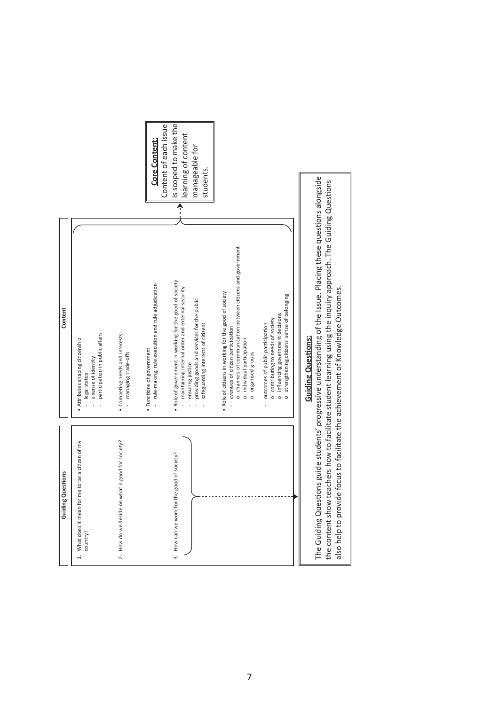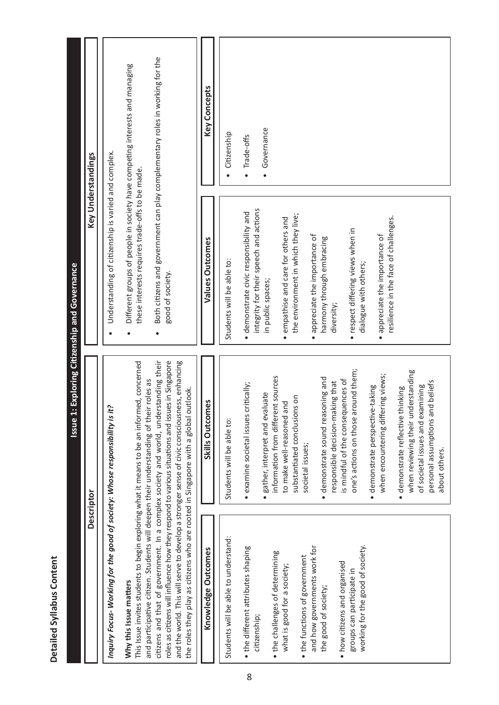|                                                                                                                                                                                                       | Issue 1:                                                                                                                                                                                                                                                                                                                                                                             | Exploring Citizenship and Governance                                                                                                               |                                                                              |
|-------------------------------------------------------------------------------------------------------------------------------------------------------------------------------------------------------|--------------------------------------------------------------------------------------------------------------------------------------------------------------------------------------------------------------------------------------------------------------------------------------------------------------------------------------------------------------------------------------|----------------------------------------------------------------------------------------------------------------------------------------------------|------------------------------------------------------------------------------|
|                                                                                                                                                                                                       | Descriptor                                                                                                                                                                                                                                                                                                                                                                           |                                                                                                                                                    | Key Understandings                                                           |
| Inquiry Focus- Working for the good of society: Whose responsibility is it?                                                                                                                           |                                                                                                                                                                                                                                                                                                                                                                                      | Understanding of citizenship is varied and complex.                                                                                                |                                                                              |
| and participative citizen. Students will deepen their understanding of their roles as<br>the roles they play as citizens who are rooted in Singapore with a global outlook.<br>Why this Issue matters | citizens and that of government. In a complex society and world, understanding their<br>roles as citizens will influence how they respond to various situations and issues in Singapore<br>and the world. This will serve to develop a stronger sense of civic consciousness, enhancing<br>This Issue invites students to begin exploring what it means to be an informed, concerned | Different groups of people in society have competing interests and managing<br>these interests requires trade-offs to be made.<br>good of society. | Both citizens and government can play complementary roles in working for the |
| Knowledge Outcomes                                                                                                                                                                                    | Skills Outcomes                                                                                                                                                                                                                                                                                                                                                                      | Values Outcomes                                                                                                                                    | Key Concepts                                                                 |
| Students will be able to understand:                                                                                                                                                                  | Students will be able to:                                                                                                                                                                                                                                                                                                                                                            | Students will be able to:                                                                                                                          | Citizenship                                                                  |
| • the different attributes shaping<br>citizenship;                                                                                                                                                    | $\bullet$ examine societal issues critically;                                                                                                                                                                                                                                                                                                                                        | integrity for their speech and actions<br>· demonstrate civic responsibility and                                                                   | Trade-offs                                                                   |
|                                                                                                                                                                                                       | gather, interpret and evaluate                                                                                                                                                                                                                                                                                                                                                       | in public spaces;                                                                                                                                  | Governance<br>$\bullet$                                                      |
| • the challenges of determining<br>what is good for a society,                                                                                                                                        | information from different sources<br>to make well-reasoned and                                                                                                                                                                                                                                                                                                                      | · empathise and care for others and                                                                                                                |                                                                              |
|                                                                                                                                                                                                       | substantiated conclusions on                                                                                                                                                                                                                                                                                                                                                         | the environment in which they live;                                                                                                                |                                                                              |
| and how governments work for<br>• the functions of government                                                                                                                                         | societal issues;                                                                                                                                                                                                                                                                                                                                                                     | • appreciate the importance of                                                                                                                     |                                                                              |
| the good of society;                                                                                                                                                                                  | · demonstrate sound reasoning and                                                                                                                                                                                                                                                                                                                                                    | harmony through embracing                                                                                                                          |                                                                              |
|                                                                                                                                                                                                       | responsible decision-making that                                                                                                                                                                                                                                                                                                                                                     | diversity;                                                                                                                                         |                                                                              |
| • how citizens and organised                                                                                                                                                                          | is mindful of the consequences of                                                                                                                                                                                                                                                                                                                                                    |                                                                                                                                                    |                                                                              |
| working for the good of society.<br>groups can participate in                                                                                                                                         | one's actions on those around them;                                                                                                                                                                                                                                                                                                                                                  | · respect differing views when in<br>dialogue with others;                                                                                         |                                                                              |
|                                                                                                                                                                                                       | · demonstrate perspective-taking                                                                                                                                                                                                                                                                                                                                                     |                                                                                                                                                    |                                                                              |
|                                                                                                                                                                                                       | when encountering differing views;                                                                                                                                                                                                                                                                                                                                                   | resilience in the face of challenges.<br>• appreciate the importance of                                                                            |                                                                              |
|                                                                                                                                                                                                       | when reviewing their understanding<br>demonstrate reflective thinking                                                                                                                                                                                                                                                                                                                |                                                                                                                                                    |                                                                              |
|                                                                                                                                                                                                       | personal assumptions and beliefs<br>of societal issues and examining                                                                                                                                                                                                                                                                                                                 |                                                                                                                                                    |                                                                              |
|                                                                                                                                                                                                       | about others.                                                                                                                                                                                                                                                                                                                                                                        |                                                                                                                                                    |                                                                              |

**Detailed Syllabus Content** 

Detailed Syllabus Content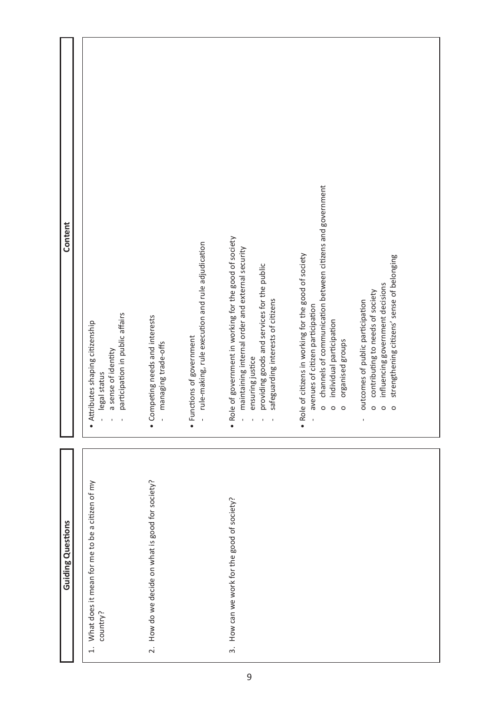| Content                  | participation in public affairs<br>· Attributes shaping citizenship<br>a sense of identity<br>legal status<br>$\mathcal{A}$<br>$\mathbf{I}$ | rule-making, rule execution and rule adjudication<br>· Competing needs and interests<br>· Functions of government<br>managing trade-offs<br>$\overline{1}$<br>$\overline{1}$ | . Role of government in working for the good of society<br>maintaining internal order and external security<br>providing goods and services for the public<br>safeguarding interests of citizens<br>ensuring justice<br>$\blacksquare$<br>$\mathbf{I}$ | channels of communication between citizens and government<br>. Role of citizens in working for the good of society<br>avenues of citizen participation<br>individual participation<br>organised groups<br>$\circ$<br>$\circ$<br>$\circ$ | strengthening citizens' sense of belonging<br>influencing government decisions<br>contributing to needs of society<br>outcomes of public participation<br>$\circ$<br>$\circ$<br>$\circ$<br>$\mathbf{I}$ |
|--------------------------|---------------------------------------------------------------------------------------------------------------------------------------------|------------------------------------------------------------------------------------------------------------------------------------------------------------------------------|--------------------------------------------------------------------------------------------------------------------------------------------------------------------------------------------------------------------------------------------------------|-----------------------------------------------------------------------------------------------------------------------------------------------------------------------------------------------------------------------------------------|---------------------------------------------------------------------------------------------------------------------------------------------------------------------------------------------------------|
| <b>Guiding Questions</b> | What does it mean for me to be a citizen of my<br>country?<br>$\overline{a}$                                                                | 2. How do we decide on what is good for society?                                                                                                                             | How can we work for the good of society?<br>$\dot{\mathfrak{g}}$                                                                                                                                                                                       |                                                                                                                                                                                                                                         |                                                                                                                                                                                                         |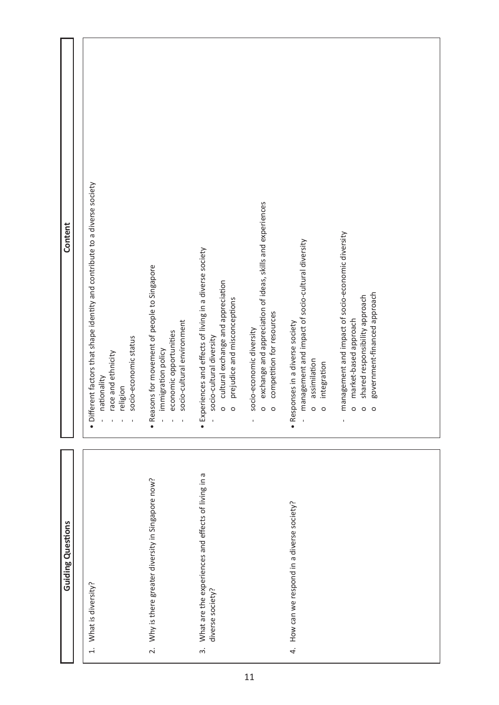| Content                  | • Different factors that shape identity and contribute to a diverse society<br>socio-economic status<br>race and ethnicity<br>nationality<br>religion<br>$\mathbf{I}$<br>$\mathbf{I}$ | · Reasons for movement of people to Singapore<br>socio-cultural environment<br>economic opportunities<br>immigration policy<br>$\bar{1}$<br>$\mathbf{I}$<br>$\mathbf{I}$ | exchange and appreciation of ideas, skills and experiences<br>· Experiences and effects of living in a diverse society<br>cultural exchange and appreciation<br>prejudice and misconceptions<br>competition for resources<br>socio-economic diversity<br>socio-cultural diversity<br>$\circ$<br>$\circ$<br>$\circ$<br>$\circ$<br>$\mathbf{I}$<br>$\mathbf{I}$ | management and impact of socio-economic diversity<br>management and impact of socio-cultural diversity<br>government-financed approach<br>shared responsibility approach<br>market-based approach<br>· Responses in a diverse society<br>assimilation<br>integration<br>$\circ$<br>$\circ$<br>$\circ$<br>$\circ$<br>$\circ$<br>$\bar{\rm I}$<br>$\overline{1}$ |
|--------------------------|---------------------------------------------------------------------------------------------------------------------------------------------------------------------------------------|--------------------------------------------------------------------------------------------------------------------------------------------------------------------------|---------------------------------------------------------------------------------------------------------------------------------------------------------------------------------------------------------------------------------------------------------------------------------------------------------------------------------------------------------------|----------------------------------------------------------------------------------------------------------------------------------------------------------------------------------------------------------------------------------------------------------------------------------------------------------------------------------------------------------------|
| <b>Guiding Questions</b> | 1. What is diversity?                                                                                                                                                                 | 2. Why is there greater diversity in Singapore now?                                                                                                                      | What are the experiences and effects of living in a<br>diverse society?<br>$\ddot{\mathrm{c}}$                                                                                                                                                                                                                                                                | How can we respond in a diverse society?<br>$\ddot{4}$                                                                                                                                                                                                                                                                                                         |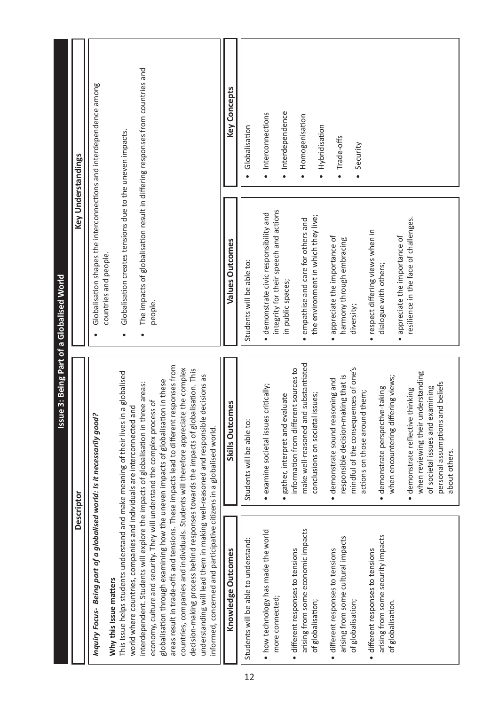|                                                                                                                                                                                                                                                                                                                                           | <b>Descriptor</b>                                                                       |                                                                               | Key Understandings          |
|-------------------------------------------------------------------------------------------------------------------------------------------------------------------------------------------------------------------------------------------------------------------------------------------------------------------------------------------|-----------------------------------------------------------------------------------------|-------------------------------------------------------------------------------|-----------------------------|
| Inquiry Focus- Being part of a globalised world: Is it necessarily good?                                                                                                                                                                                                                                                                  |                                                                                         | Globalisation shapes the interconnections and interdependence among           |                             |
| Why this Issue matters                                                                                                                                                                                                                                                                                                                    |                                                                                         | countries and people.                                                         |                             |
| This Issue helps students understand and make meaning of their lives in a globalised                                                                                                                                                                                                                                                      |                                                                                         | Globalisation creates tensions due to the uneven impacts.<br>$\bullet$        |                             |
| interdependent. Students will explore the impacts of globalisation in three areas:<br>world where countries, companies and individuals are interconnected and                                                                                                                                                                             |                                                                                         | The impacts of globalisation result in differing responses from countries and |                             |
| economy, culture and security. They will understand the complex process of                                                                                                                                                                                                                                                                |                                                                                         | people.                                                                       |                             |
| globalisation through examining how the uneven impacts of globalisation in these                                                                                                                                                                                                                                                          | areas result in trade-offs and tensions. These impacts lead to different responses from |                                                                               |                             |
| countries, companies and individuals. Students will therefore appreciate the complex<br>decision-making process behind responses towards the impacts of globalisation. This<br>understanding will lead them in making well-reasoned and responsible decisions as<br>informed, concerned and participative citizens in a globalised world. |                                                                                         |                                                                               |                             |
| Knowledge Outcomes                                                                                                                                                                                                                                                                                                                        | Skills Outcomes                                                                         | Values Outcomes                                                               | <b>Key Concepts</b>         |
| Students will be able to understand:                                                                                                                                                                                                                                                                                                      | Students will be able to:                                                               | Students will be able to:                                                     | Globalisation               |
| • how technology has made the world                                                                                                                                                                                                                                                                                                       | · examine societal issues critically;                                                   | · demonstrate civic responsibility and                                        | · Interconnections          |
| more connected;                                                                                                                                                                                                                                                                                                                           |                                                                                         | integrity for their speech and actions                                        |                             |
| · different responses to tensions                                                                                                                                                                                                                                                                                                         | information from different sources to<br>· gather, interpret and evaluate               | in public spaces;                                                             | · Interdependence           |
| arising from some economic impacts                                                                                                                                                                                                                                                                                                        | make well-reasoned and substantiated                                                    | empathise and care for others and<br>$\bullet$                                | Homogenisation<br>$\bullet$ |
| of globalisation;                                                                                                                                                                                                                                                                                                                         | conclusions on societal issues;                                                         | the environment in which they live;                                           | Hybridisation<br>$\bullet$  |
| · different responses to tensions                                                                                                                                                                                                                                                                                                         | · demonstrate sound reasoning and                                                       | appreciate the importance of<br>$\bullet$                                     |                             |
| arising from some cultural impacts                                                                                                                                                                                                                                                                                                        | responsible decision-making that is                                                     | harmony through embracing                                                     | • Trade-offs                |
| of globalisation;                                                                                                                                                                                                                                                                                                                         | mindful of the consequences of one's                                                    | diversity;                                                                    | Security                    |
| · different responses to tensions                                                                                                                                                                                                                                                                                                         | actions on those around them;                                                           | · respect differing views when in                                             |                             |
| arising from some security impacts                                                                                                                                                                                                                                                                                                        | · demonstrate perspective-taking                                                        | dialogue with others;                                                         |                             |
| of globalisation.                                                                                                                                                                                                                                                                                                                         | when encountering differing views;                                                      | appreciate the importance of<br>$\bullet$                                     |                             |
|                                                                                                                                                                                                                                                                                                                                           | demonstrate reflective thinking<br>$\bullet$                                            | resilience in the face of challenges.                                         |                             |
|                                                                                                                                                                                                                                                                                                                                           | when reviewing their understanding                                                      |                                                                               |                             |
|                                                                                                                                                                                                                                                                                                                                           | of societal issues and examining                                                        |                                                                               |                             |
|                                                                                                                                                                                                                                                                                                                                           | personal assumptions and beliefs<br>about others.                                       |                                                                               |                             |
|                                                                                                                                                                                                                                                                                                                                           |                                                                                         |                                                                               |                             |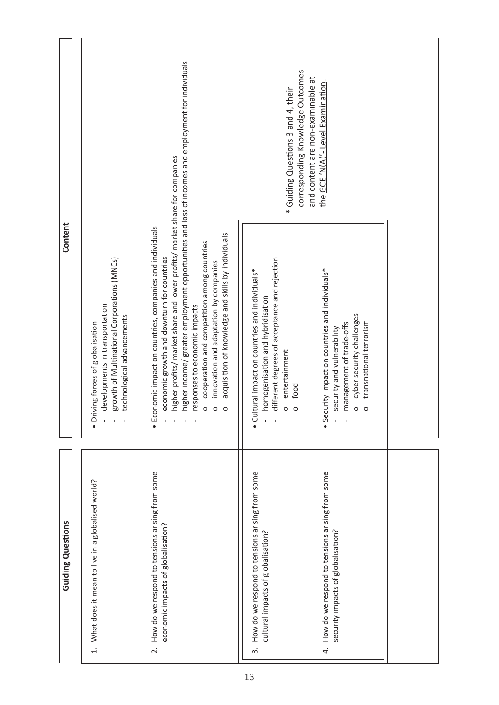|                          |                                                                                                                                                                                                     |                                                                                                                                                                                                                                                                                                                                                                                                                                                                                                                                                                               | corresponding Knowledge Outcomes<br>and content are non-examinable at<br>* Guiding Questions 3 and 4, their                                                                                                      | the GCE 'N(A)'- Level Examination                                                                                                                                                                                        |  |
|--------------------------|-----------------------------------------------------------------------------------------------------------------------------------------------------------------------------------------------------|-------------------------------------------------------------------------------------------------------------------------------------------------------------------------------------------------------------------------------------------------------------------------------------------------------------------------------------------------------------------------------------------------------------------------------------------------------------------------------------------------------------------------------------------------------------------------------|------------------------------------------------------------------------------------------------------------------------------------------------------------------------------------------------------------------|--------------------------------------------------------------------------------------------------------------------------------------------------------------------------------------------------------------------------|--|
| Content                  | growth of Multinational Corporations (MNCs)<br>developments in transportation<br>technological advancements<br>• Driving forces of globalisation<br>$\bar{\mathbf{r}}$<br>$\mathbf{r}$<br>$\bar{1}$ | higher income/ greater employment opportunities and loss of incomes and employment for individuals<br>higher profits/ market share and lower profits/ market share for companies<br>· Economic impact on countries, companies and individuals<br>acquisition of knowledge and skills by individuals<br>cooperation and competition among countries<br>economic growth and downturn for countries<br>innovation and adaptation by companies<br>responses to economic impacts<br>$\circ$<br>$\circ$<br>$\circ$<br>$\bar{\rm I}$<br>$\mathbf{r}$<br>$\mathbf{L}$<br>$\mathbf{I}$ | different degrees of acceptance and rejection<br>• Cultural impact on countries and individuals*<br>homogenisation and hybridisation<br>entertainment<br>food<br>$\circ$<br>$\circ$<br>$\mathbf{r}$<br>$\bar{1}$ | • Security impact on countries and individuals*<br>cyber security challenges<br>transnational terrorism<br>management of trade-offs<br>security and vulnerability<br>$\circ$<br>$\circ$<br>$\mathcal{L}$<br>$\mathbf{I}$ |  |
| <b>Guiding Questions</b> | What does it mean to live in a globalised world?<br>$\overline{d}$                                                                                                                                  | How do we respond to tensions arising from some<br>economic impacts of globalisation?<br>$\overline{\mathcal{L}}$                                                                                                                                                                                                                                                                                                                                                                                                                                                             | How do we respond to tensions arising from some<br>cultural impacts of globalisation?<br>$\ddot{\mathrm{c}}$                                                                                                     | 4. How do we respond to tensions arising from some<br>security impacts of globalisation?                                                                                                                                 |  |

4 . r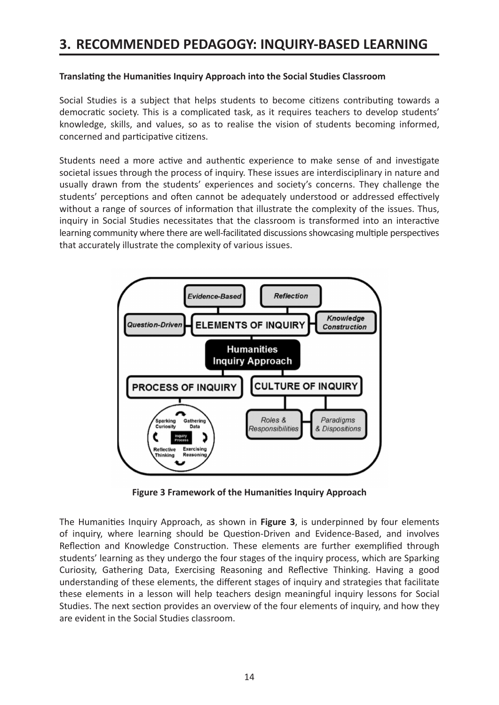# **3. RECOMMENDED PEDAGOGY: INQUIRY-BASED LEARNING**

#### **Translating the Humanities Inquiry Approach into the Social Studies Classroom**

Social Studies is a subject that helps students to become citizens contributing towards a democratic society. This is a complicated task, as it requires teachers to develop students' knowledge, skills, and values, so as to realise the vision of students becoming informed, concerned and participative citizens.

Students need a more active and authentic experience to make sense of and investigate societal issues through the process of inquiry. These issues are interdisciplinary in nature and usually drawn from the students' experiences and society's concerns. They challenge the students' perceptions and often cannot be adequately understood or addressed effectively without a range of sources of information that illustrate the complexity of the issues. Thus, inquiry in Social Studies necessitates that the classroom is transformed into an interactive learning community where there are well-facilitated discussions showcasing multiple perspectives that accurately illustrate the complexity of various issues.



**Figure 3 Framework of the Humanities Inquiry Approach**

The Humanities Inquiry Approach, as shown in **Figure 3**, is underpinned by four elements of inquiry, where learning should be Question-Driven and Evidence-Based, and involves Reflection and Knowledge Construction. These elements are further exemplified through students' learning as they undergo the four stages of the inquiry process, which are Sparking Curiosity, Gathering Data, Exercising Reasoning and Reflective Thinking. Having a good understanding of these elements, the different stages of inquiry and strategies that facilitate these elements in a lesson will help teachers design meaningful inquiry lessons for Social Studies. The next section provides an overview of the four elements of inquiry, and how they are evident in the Social Studies classroom.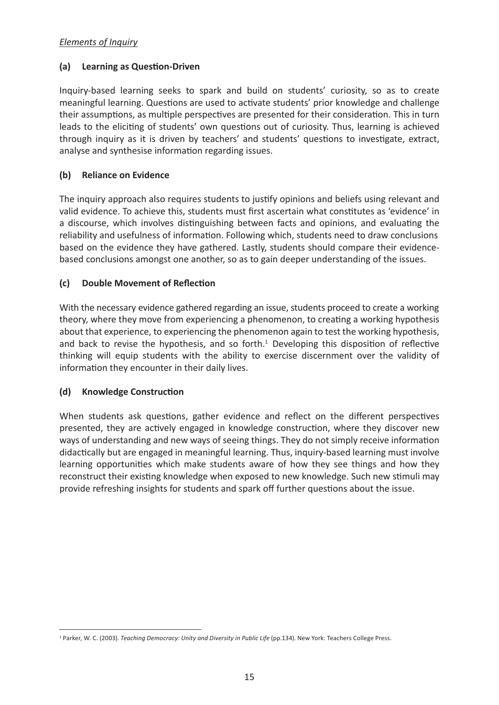# *Elements of Inquiry*

#### **(a) Learning as Question-Driven**

Inquiry-based learning seeks to spark and build on students' curiosity, so as to create meaningful learning. Questions are used to activate students' prior knowledge and challenge their assumptions, as multiple perspectives are presented for their consideration. This in turn leads to the eliciting of students' own questions out of curiosity. Thus, learning is achieved through inquiry as it is driven by teachers' and students' questions to investigate, extract, analyse and synthesise information regarding issues.

## **(b) Reliance on Evidence**

The inquiry approach also requires students to justify opinions and beliefs using relevant and valid evidence. To achieve this, students must first ascertain what constitutes as 'evidence' in a discourse, which involves distinguishing between facts and opinions, and evaluating the reliability and usefulness of information. Following which, students need to draw conclusions based on the evidence they have gathered. Lastly, students should compare their evidencebased conclusions amongst one another, so as to gain deeper understanding of the issues.

#### **(c) Double Movement of Reflection**

With the necessary evidence gathered regarding an issue, students proceed to create a working theory, where they move from experiencing a phenomenon, to creating a working hypothesis about that experience, to experiencing the phenomenon again to test the working hypothesis, and back to revise the hypothesis, and so forth.<sup>1</sup> Developing this disposition of reflective thinking will equip students with the ability to exercise discernment over the validity of information they encounter in their daily lives.

## **(d) Knowledge Construction**

When students ask questions, gather evidence and reflect on the different perspectives presented, they are actively engaged in knowledge construction, where they discover new ways of understanding and new ways of seeing things. They do not simply receive information didactically but are engaged in meaningful learning. Thus, inquiry-based learning must involve learning opportunities which make students aware of how they see things and how they reconstruct their existing knowledge when exposed to new knowledge. Such new stimuli may provide refreshing insights for students and spark off further questions about the issue.

<sup>&</sup>lt;sup>1</sup> Parker, W. C. (2003). *Teaching Democracy: Unity and Diversity in Public Life* (pp.134). New York: Teachers College Press.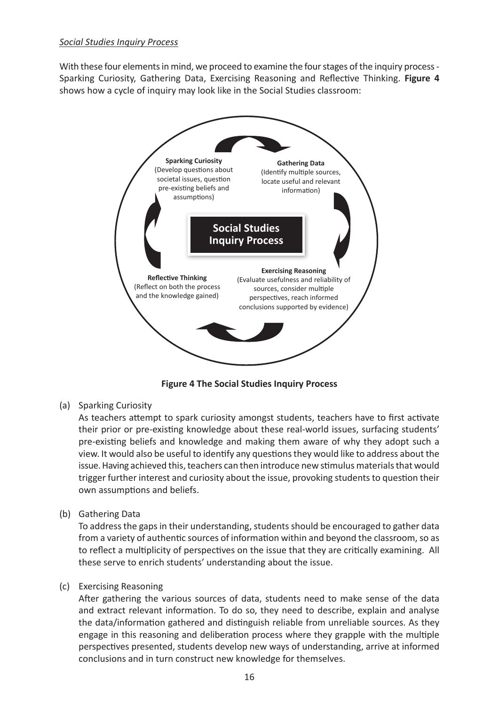#### *Social Studies Inquiry Process*

With these four elements in mind, we proceed to examine the four stages of the inquiry process - Sparking Curiosity, Gathering Data, Exercising Reasoning and Reflective Thinking. **Figure 4**  shows how a cycle of inquiry may look like in the Social Studies classroom:



**Figure 4 The Social Studies Inquiry Process**

(a) Sparking Curiosity

As teachers attempt to spark curiosity amongst students, teachers have to first activate their prior or pre-existing knowledge about these real-world issues, surfacing students' pre-existing beliefs and knowledge and making them aware of why they adopt such a view. It would also be useful to identify any questions they would like to address about the issue. Having achieved this, teachers can then introduce new stimulus materials that would trigger further interest and curiosity about the issue, provoking students to question their own assumptions and beliefs.

(b) Gathering Data

To address the gaps in their understanding, students should be encouraged to gather data from a variety of authentic sources of information within and beyond the classroom, so as to reflect a multiplicity of perspectives on the issue that they are critically examining. All these serve to enrich students' understanding about the issue.

#### (c) Exercising Reasoning

After gathering the various sources of data, students need to make sense of the data and extract relevant information. To do so, they need to describe, explain and analyse the data/information gathered and distinguish reliable from unreliable sources. As they engage in this reasoning and deliberation process where they grapple with the multiple perspectives presented, students develop new ways of understanding, arrive at informed conclusions and in turn construct new knowledge for themselves.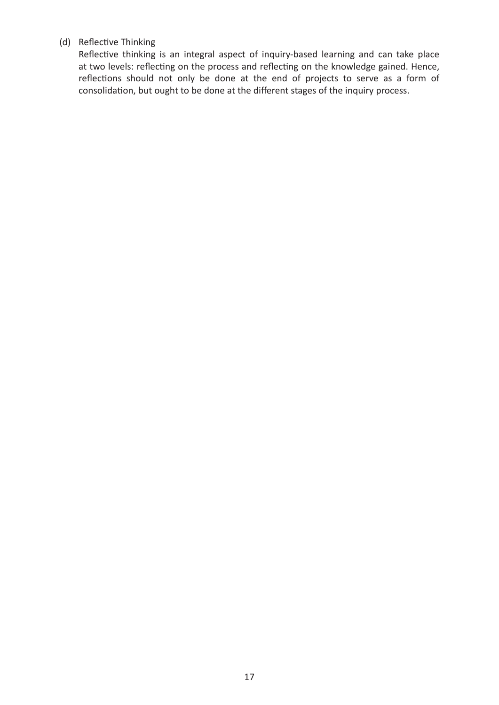# (d) Reflective Thinking

Reflective thinking is an integral aspect of inquiry-based learning and can take place at two levels: reflecting on the process and reflecting on the knowledge gained. Hence, reflections should not only be done at the end of projects to serve as a form of consolidation, but ought to be done at the different stages of the inquiry process.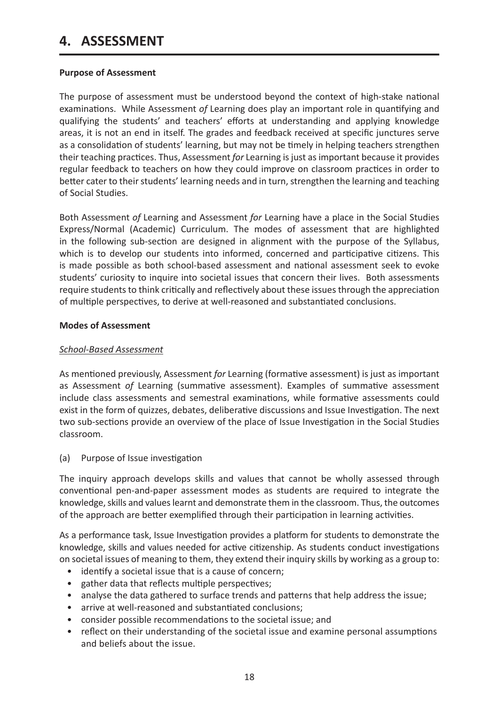# **4. ASSESSMENT**

#### **Purpose of Assessment**

The purpose of assessment must be understood beyond the context of high-stake national examinations. While Assessment *of* Learning does play an important role in quantifying and qualifying the students' and teachers' efforts at understanding and applying knowledge areas, it is not an end in itself. The grades and feedback received at specific junctures serve as a consolidation of students' learning, but may not be timely in helping teachers strengthen their teaching practices. Thus, Assessment *for* Learning is just as important because it provides regular feedback to teachers on how they could improve on classroom practices in order to better cater to their students' learning needs and in turn, strengthen the learning and teaching of Social Studies.

Both Assessment *of* Learning and Assessment *for* Learning have a place in the Social Studies Express/Normal (Academic) Curriculum. The modes of assessment that are highlighted in the following sub-section are designed in alignment with the purpose of the Syllabus, which is to develop our students into informed, concerned and participative citizens. This is made possible as both school-based assessment and national assessment seek to evoke students' curiosity to inquire into societal issues that concern their lives. Both assessments require students to think critically and reflectively about these issues through the appreciation of multiple perspectives, to derive at well-reasoned and substantiated conclusions.

#### **Modes of Assessment**

#### *School-Based Assessment*

As mentioned previously, Assessment *for* Learning (formative assessment) is just as important as Assessment *of* Learning (summative assessment). Examples of summative assessment include class assessments and semestral examinations, while formative assessments could exist in the form of quizzes, debates, deliberative discussions and Issue Investigation. The next two sub-sections provide an overview of the place of Issue Investigation in the Social Studies classroom.

(a) Purpose of Issue investigation

The inquiry approach develops skills and values that cannot be wholly assessed through conventional pen-and-paper assessment modes as students are required to integrate the knowledge, skills and values learnt and demonstrate them in the classroom. Thus, the outcomes of the approach are better exemplified through their participation in learning activities.

As a performance task, Issue Investigation provides a platform for students to demonstrate the knowledge, skills and values needed for active citizenship. As students conduct investigations on societal issues of meaning to them, they extend their inquiry skills by working as a group to:

- identify a societal issue that is a cause of concern;
- gather data that reflects multiple perspectives;
- analyse the data gathered to surface trends and patterns that help address the issue;
- arrive at well-reasoned and substantiated conclusions;
- consider possible recommendations to the societal issue; and
- reflect on their understanding of the societal issue and examine personal assumptions and beliefs about the issue.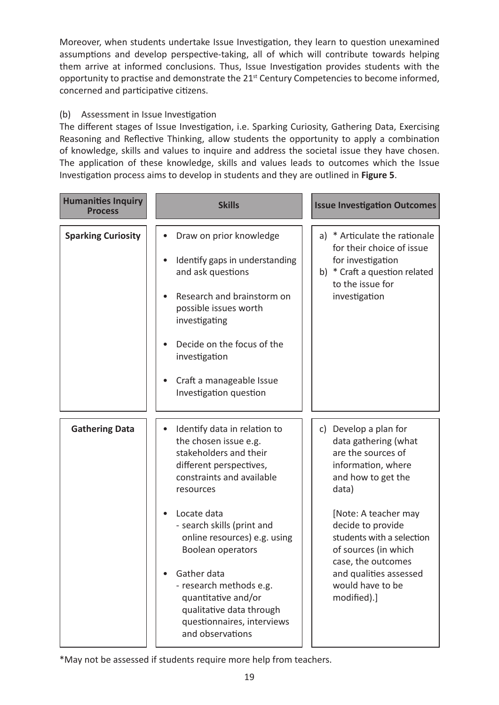Moreover, when students undertake Issue Investigation, they learn to question unexamined assumptions and develop perspective-taking, all of which will contribute towards helping them arrive at informed conclusions. Thus, Issue Investigation provides students with the opportunity to practise and demonstrate the 21<sup>st</sup> Century Competencies to become informed, concerned and participative citizens.

# (b) Assessment in Issue Investigation

The different stages of Issue Investigation, i.e. Sparking Curiosity, Gathering Data, Exercising Reasoning and Reflective Thinking, allow students the opportunity to apply a combination of knowledge, skills and values to inquire and address the societal issue they have chosen. The application of these knowledge, skills and values leads to outcomes which the Issue Investigation process aims to develop in students and they are outlined in **Figure 5**.

| <b>Humanities Inquiry</b><br><b>Process</b> | <b>Skills</b>                                                                                                                                                                                                                                                                                                                                                                                                      | <b>Issue Investigation Outcomes</b>                                                                                                                                                                                                                                                                           |
|---------------------------------------------|--------------------------------------------------------------------------------------------------------------------------------------------------------------------------------------------------------------------------------------------------------------------------------------------------------------------------------------------------------------------------------------------------------------------|---------------------------------------------------------------------------------------------------------------------------------------------------------------------------------------------------------------------------------------------------------------------------------------------------------------|
| <b>Sparking Curiosity</b>                   | Draw on prior knowledge<br>Identify gaps in understanding<br>and ask questions<br>Research and brainstorm on<br>possible issues worth<br>investigating<br>Decide on the focus of the<br>investigation<br>Craft a manageable Issue<br>Investigation question                                                                                                                                                        | a) * Articulate the rationale<br>for their choice of issue<br>for investigation<br>b) * Craft a question related<br>to the issue for<br>investigation                                                                                                                                                         |
| <b>Gathering Data</b>                       | Identify data in relation to<br>$\bullet$<br>the chosen issue e.g.<br>stakeholders and their<br>different perspectives,<br>constraints and available<br>resources<br>Locate data<br>- search skills (print and<br>online resources) e.g. using<br>Boolean operators<br>Gather data<br>- research methods e.g.<br>quantitative and/or<br>qualitative data through<br>questionnaires, interviews<br>and observations | c) Develop a plan for<br>data gathering (what<br>are the sources of<br>information, where<br>and how to get the<br>data)<br>[Note: A teacher may<br>decide to provide<br>students with a selection<br>of sources (in which<br>case, the outcomes<br>and qualities assessed<br>would have to be<br>modified).] |

\*May not be assessed if students require more help from teachers.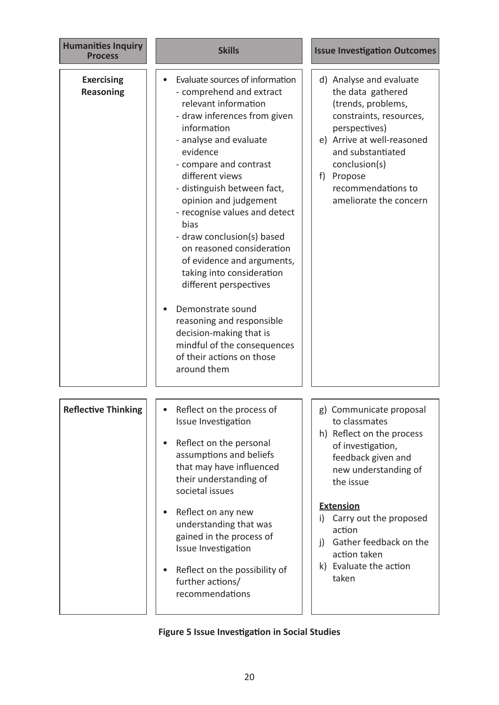| <b>Humanities Inquiry</b><br><b>Process</b> | <b>Skills</b>                                                                                                                                                                                                                                                                                                                                                                                                                                                                                                                                                                                                                  | <b>Issue Investigation Outcomes</b>                                                                                                                                                                                                                                                                    |
|---------------------------------------------|--------------------------------------------------------------------------------------------------------------------------------------------------------------------------------------------------------------------------------------------------------------------------------------------------------------------------------------------------------------------------------------------------------------------------------------------------------------------------------------------------------------------------------------------------------------------------------------------------------------------------------|--------------------------------------------------------------------------------------------------------------------------------------------------------------------------------------------------------------------------------------------------------------------------------------------------------|
| <b>Exercising</b><br><b>Reasoning</b>       | Evaluate sources of information<br>- comprehend and extract<br>relevant information<br>- draw inferences from given<br>information<br>- analyse and evaluate<br>evidence<br>- compare and contrast<br>different views<br>- distinguish between fact,<br>opinion and judgement<br>- recognise values and detect<br>bias<br>- draw conclusion(s) based<br>on reasoned consideration<br>of evidence and arguments,<br>taking into consideration<br>different perspectives<br>Demonstrate sound<br>reasoning and responsible<br>decision-making that is<br>mindful of the consequences<br>of their actions on those<br>around them | d) Analyse and evaluate<br>the data gathered<br>(trends, problems,<br>constraints, resources,<br>perspectives)<br>e) Arrive at well-reasoned<br>and substantiated<br>conclusion(s)<br>f) Propose<br>recommendations to<br>ameliorate the concern                                                       |
| <b>Reflective Thinking</b>                  | Reflect on the process of<br>Issue Investigation<br>Reflect on the personal<br>$\bullet$<br>assumptions and beliefs<br>that may have influenced<br>their understanding of<br>societal issues<br>Reflect on any new<br>$\bullet$<br>understanding that was<br>gained in the process of<br>Issue Investigation<br>Reflect on the possibility of<br>$\bullet$<br>further actions/<br>recommendations                                                                                                                                                                                                                              | g) Communicate proposal<br>to classmates<br>h) Reflect on the process<br>of investigation,<br>feedback given and<br>new understanding of<br>the issue<br><b>Extension</b><br>Carry out the proposed<br>i)<br>action<br>Gather feedback on the<br>i)<br>action taken<br>k) Evaluate the action<br>taken |

# **Figure 5 Issue Investigation in Social Studies**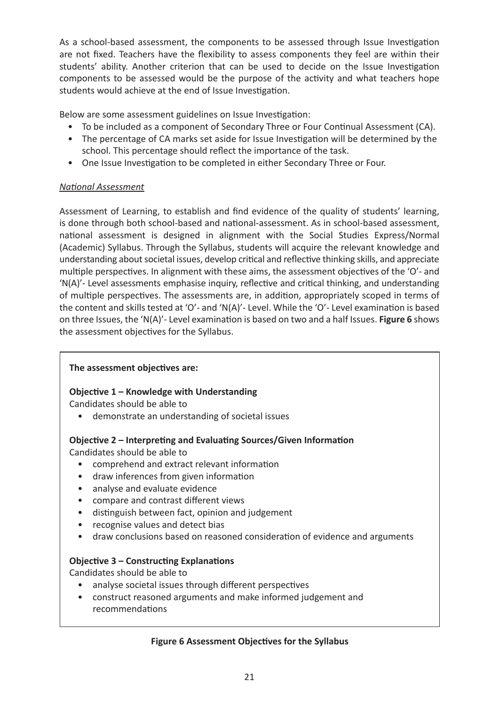As a school-based assessment, the components to be assessed through Issue Investigation are not fixed. Teachers have the flexibility to assess components they feel are within their students' ability. Another criterion that can be used to decide on the Issue Investigation components to be assessed would be the purpose of the activity and what teachers hope students would achieve at the end of Issue Investigation.

Below are some assessment guidelines on Issue Investigation:

- To be included as a component of Secondary Three or Four Continual Assessment (CA).
- The percentage of CA marks set aside for Issue Investigation will be determined by the school. This percentage should reflect the importance of the task.
- One Issue Investigation to be completed in either Secondary Three or Four.

# *National Assessment*

Assessment of Learning, to establish and find evidence of the quality of students' learning, is done through both school-based and national-assessment. As in school-based assessment, national assessment is designed in alignment with the Social Studies Express/Normal (Academic) Syllabus. Through the Syllabus, students will acquire the relevant knowledge and understanding about societal issues, develop critical and reflective thinking skills, and appreciate multiple perspectives. In alignment with these aims, the assessment objectives of the 'O'- and 'N(A)'- Level assessments emphasise inquiry, reflective and critical thinking, and understanding of multiple perspectives. The assessments are, in addition, appropriately scoped in terms of the content and skills tested at 'O'- and 'N(A)'- Level. While the 'O'- Level examination is based on three Issues, the 'N(A)'- Level examination is based on two and a half Issues. **Figure 6** shows the assessment objectives for the Syllabus.

# **The assessment objectives are:**

# **Objective 1 – Knowledge with Understanding**

Candidates should be able to

• demonstrate an understanding of societal issues

# **Objective 2 – Interpreting and Evaluating Sources/Given Information**

Candidates should be able to

- comprehend and extract relevant information
- draw inferences from given information
- analyse and evaluate evidence
- compare and contrast different views
- distinguish between fact, opinion and judgement
- recognise values and detect bias
- draw conclusions based on reasoned consideration of evidence and arguments

# **Objective 3 – Constructing Explanations**

Candidates should be able to

- analyse societal issues through different perspectives
- construct reasoned arguments and make informed judgement and recommendations

## **Figure 6 Assessment Objectives for the Syllabus**